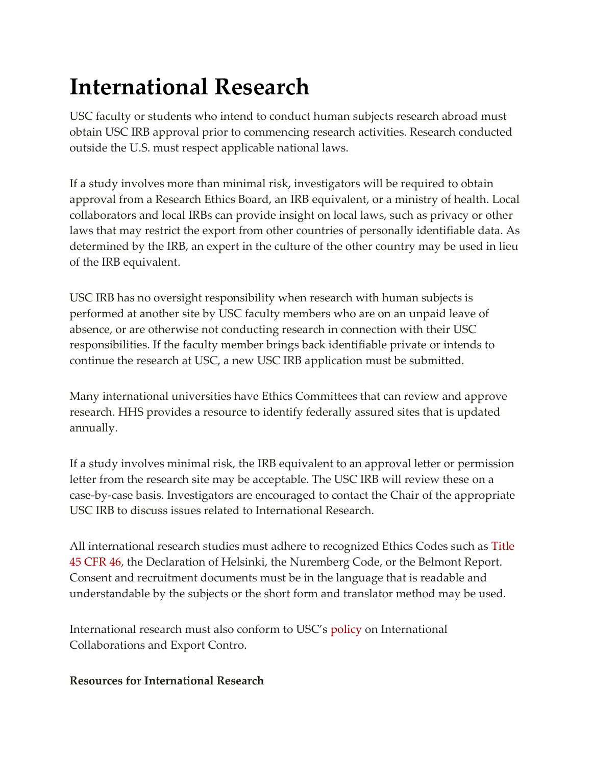## **International Research**

USC faculty or students who intend to conduct human subjects research abroad must obtain USC IRB approval prior to commencing research activities. Research conducted outside the U.S. must respect applicable national laws.

If a study involves more than minimal risk, investigators will be required to obtain approval from a Research Ethics Board, an IRB equivalent, or a ministry of health. Local collaborators and local IRBs can provide insight on local laws, such as privacy or other laws that may restrict the export from other countries of personally identifiable data. As determined by the IRB, an expert in the culture of the other country may be used in lieu of the IRB equivalent.

USC IRB has no oversight responsibility when research with human subjects is performed at another site by USC faculty members who are on an unpaid leave of absence, or are otherwise not conducting research in connection with their USC responsibilities. If the faculty member brings back identifiable private or intends to continue the research at USC, a new USC IRB application must be submitted.

Many international universities have Ethics Committees that can review and approve research. HHS provides a resource to identify federally assured sites that is updated annually.

If a study involves minimal risk, the IRB equivalent to an approval letter or permission letter from the research site may be acceptable. The USC IRB will review these on a case-by-case basis. Investigators are encouraged to contact the Chair of the appropriate USC IRB to discuss issues related to International Research.

All international research studies must adhere to recognized Ethics Codes such as [Title](http://www.hhs.gov/ohrp/humansubjects/guidance/45cfr46.html)  [45 CFR 46,](http://www.hhs.gov/ohrp/humansubjects/guidance/45cfr46.html) the Declaration of Helsinki, the Nuremberg Code, or the Belmont Report. Consent and recruitment documents must be in the language that is readable and understandable by the subjects or the short form and translator method may be used.

International research must also conform to USC's [policy](https://research.usc.edu/international-research/) on International Collaborations and Export Contro.

## **Resources for International Research**